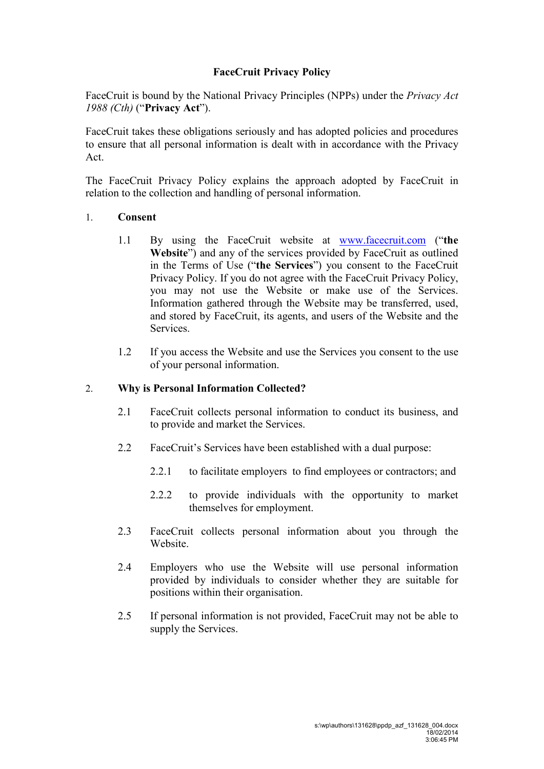# **FaceCruit Privacy Policy**

FaceCruit is bound by the National Privacy Principles (NPPs) under the *Privacy Act 1988 (Cth)* ("**Privacy Act**").

FaceCruit takes these obligations seriously and has adopted policies and procedures to ensure that all personal information is dealt with in accordance with the Privacy Act.

The FaceCruit Privacy Policy explains the approach adopted by FaceCruit in relation to the collection and handling of personal information.

#### 1. **Consent**

- 1.1 By using the FaceCruit website at www.facecruit.com ("**the Website**") and any of the services provided by FaceCruit as outlined in the Terms of Use ("**the Services**") you consent to the FaceCruit Privacy Policy. If you do not agree with the FaceCruit Privacy Policy, you may not use the Website or make use of the Services. Information gathered through the Website may be transferred, used, and stored by FaceCruit, its agents, and users of the Website and the Services.
- 1.2 If you access the Website and use the Services you consent to the use of your personal information.

### 2. **Why is Personal Information Collected?**

- 2.1 FaceCruit collects personal information to conduct its business, and to provide and market the Services.
- 2.2 FaceCruit's Services have been established with a dual purpose:
	- 2.2.1 to facilitate employers to find employees or contractors; and
	- 2.2.2 to provide individuals with the opportunity to market themselves for employment.
- 2.3 FaceCruit collects personal information about you through the **Website**
- 2.4 Employers who use the Website will use personal information provided by individuals to consider whether they are suitable for positions within their organisation.
- 2.5 If personal information is not provided, FaceCruit may not be able to supply the Services.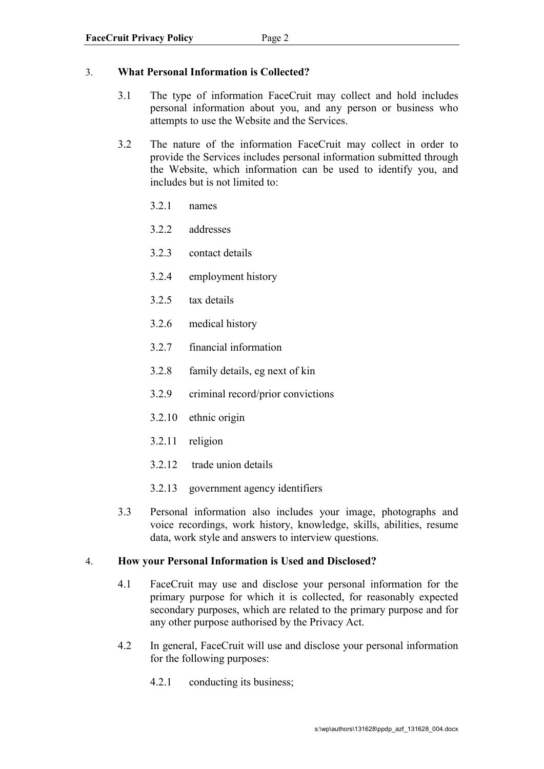### 3. **What Personal Information is Collected?**

- 3.1 The type of information FaceCruit may collect and hold includes personal information about you, and any person or business who attempts to use the Website and the Services.
- 3.2 The nature of the information FaceCruit may collect in order to provide the Services includes personal information submitted through the Website, which information can be used to identify you, and includes but is not limited to:
	- 3.2.1 names
	- 3.2.2 addresses
	- 3.2.3 contact details
	- 3.2.4 employment history
	- 3.2.5 tax details
	- 3.2.6 medical history
	- 3.2.7 financial information
	- 3.2.8 family details, eg next of kin
	- 3.2.9 criminal record/prior convictions
	- 3.2.10 ethnic origin
	- 3.2.11 religion
	- 3.2.12 trade union details
	- 3.2.13 government agency identifiers
- 3.3 Personal information also includes your image, photographs and voice recordings, work history, knowledge, skills, abilities, resume data, work style and answers to interview questions.

### 4. **How your Personal Information is Used and Disclosed?**

- 4.1 FaceCruit may use and disclose your personal information for the primary purpose for which it is collected, for reasonably expected secondary purposes, which are related to the primary purpose and for any other purpose authorised by the Privacy Act.
- 4.2 In general, FaceCruit will use and disclose your personal information for the following purposes:
	- 4.2.1 conducting its business;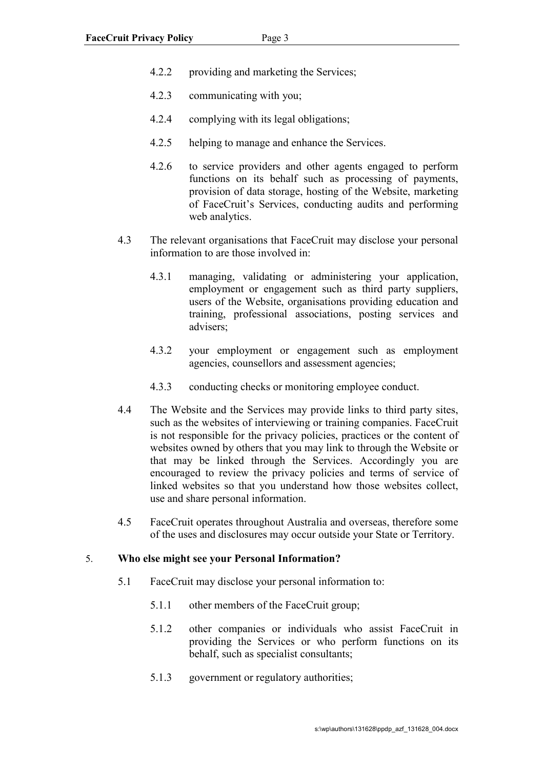- 4.2.2 providing and marketing the Services;
- 4.2.3 communicating with you;
- 4.2.4 complying with its legal obligations;
- 4.2.5 helping to manage and enhance the Services.
- 4.2.6 to service providers and other agents engaged to perform functions on its behalf such as processing of payments, provision of data storage, hosting of the Website, marketing of FaceCruit's Services, conducting audits and performing web analytics.
- 4.3 The relevant organisations that FaceCruit may disclose your personal information to are those involved in:
	- 4.3.1 managing, validating or administering your application, employment or engagement such as third party suppliers, users of the Website, organisations providing education and training, professional associations, posting services and advisers;
	- 4.3.2 your employment or engagement such as employment agencies, counsellors and assessment agencies;
	- 4.3.3 conducting checks or monitoring employee conduct.
- 4.4 The Website and the Services may provide links to third party sites, such as the websites of interviewing or training companies. FaceCruit is not responsible for the privacy policies, practices or the content of websites owned by others that you may link to through the Website or that may be linked through the Services. Accordingly you are encouraged to review the privacy policies and terms of service of linked websites so that you understand how those websites collect, use and share personal information.
- 4.5 FaceCruit operates throughout Australia and overseas, therefore some of the uses and disclosures may occur outside your State or Territory.

#### 5. **Who else might see your Personal Information?**

- 5.1 FaceCruit may disclose your personal information to:
	- 5.1.1 other members of the FaceCruit group;
	- 5.1.2 other companies or individuals who assist FaceCruit in providing the Services or who perform functions on its behalf, such as specialist consultants;
	- 5.1.3 government or regulatory authorities;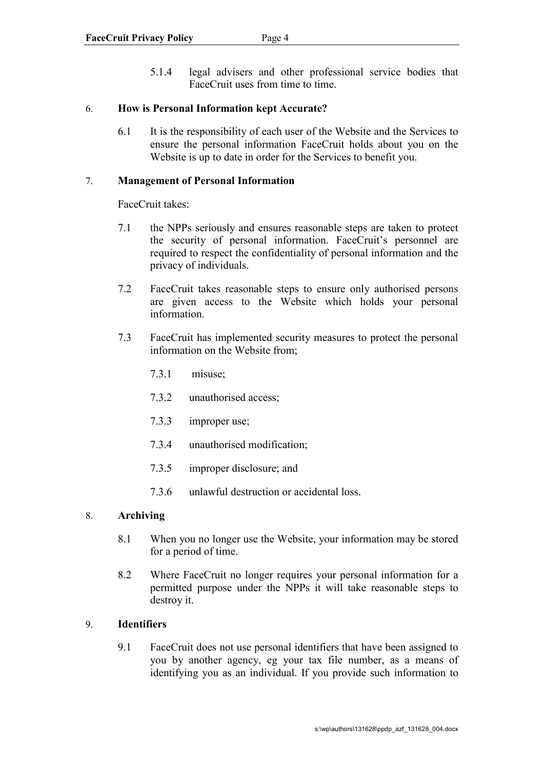5.1.4 legal advisers and other professional service bodies that FaceCruit uses from time to time.

## 6. **How is Personal Information kept Accurate?**

6.1 It is the responsibility of each user of the Website and the Services to ensure the personal information FaceCruit holds about you on the Website is up to date in order for the Services to benefit you.

## 7. **Management of Personal Information**

FaceCruit takes:

- 7.1 the NPPs seriously and ensures reasonable steps are taken to protect the security of personal information. FaceCruit's personnel are required to respect the confidentiality of personal information and the privacy of individuals.
- 7.2 FaceCruit takes reasonable steps to ensure only authorised persons are given access to the Website which holds your personal information.
- 7.3 FaceCruit has implemented security measures to protect the personal information on the Website from;
	- 7.3.1 misuse;
	- 7.3.2 unauthorised access;
	- 7.3.3 improper use;
	- 7.3.4 unauthorised modification;
	- 7.3.5 improper disclosure; and
	- 7.3.6 unlawful destruction or accidental loss.

# 8. **Archiving**

- 8.1 When you no longer use the Website, your information may be stored for a period of time.
- 8.2 Where FaceCruit no longer requires your personal information for a permitted purpose under the NPPs it will take reasonable steps to destroy it.

# 9. **Identifiers**

9.1 FaceCruit does not use personal identifiers that have been assigned to you by another agency, eg your tax file number, as a means of identifying you as an individual. If you provide such information to